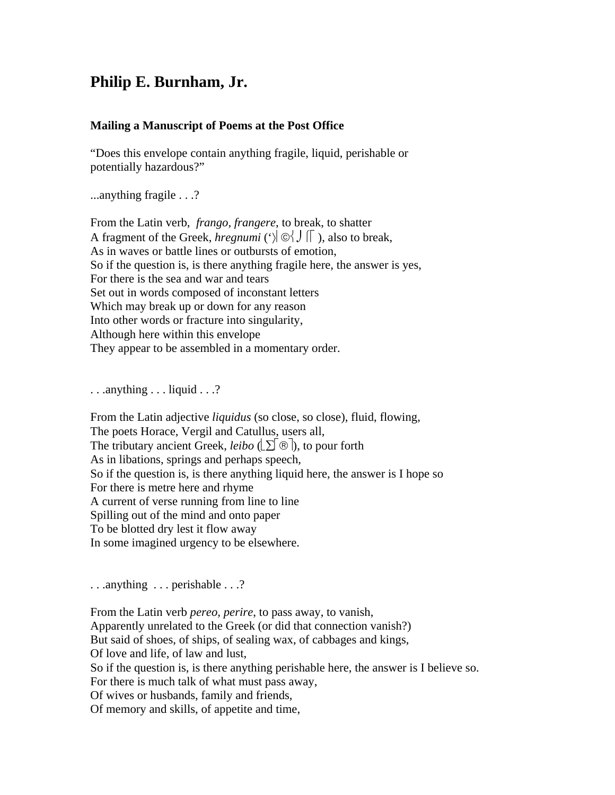## **Philip E. Burnham, Jr.**

## **Mailing a Manuscript of Poems at the Post Office**

"Does this envelope contain anything fragile, liquid, perishable or potentially hazardous?"

...anything fragile . . .?

From the Latin verb, *frango, frangere*, to break, to shatter A fragment of the Greek, *hregnumi* ( $\Diamond$   $\Diamond$   $\Diamond$   $\Box$  ), also to break, As in waves or battle lines or outbursts of emotion, So if the question is, is there anything fragile here, the answer is yes, For there is the sea and war and tears Set out in words composed of inconstant letters Which may break up or down for any reason Into other words or fracture into singularity, Although here within this envelope They appear to be assembled in a momentary order.

. . .anything . . . liquid . . .?

From the Latin adjective *liquidus* (so close, so close), fluid, flowing, The poets Horace, Vergil and Catullus, users all, The tributary ancient Greek, *leibo*  $(\sum \circledR)$ , to pour forth As in libations, springs and perhaps speech, So if the question is, is there anything liquid here, the answer is I hope so For there is metre here and rhyme A current of verse running from line to line Spilling out of the mind and onto paper To be blotted dry lest it flow away In some imagined urgency to be elsewhere.

. . .anything . . . perishable . . .?

From the Latin verb *pereo, perire*, to pass away, to vanish, Apparently unrelated to the Greek (or did that connection vanish?) But said of shoes, of ships, of sealing wax, of cabbages and kings, Of love and life, of law and lust, So if the question is, is there anything perishable here, the answer is I believe so. For there is much talk of what must pass away, Of wives or husbands, family and friends, Of memory and skills, of appetite and time,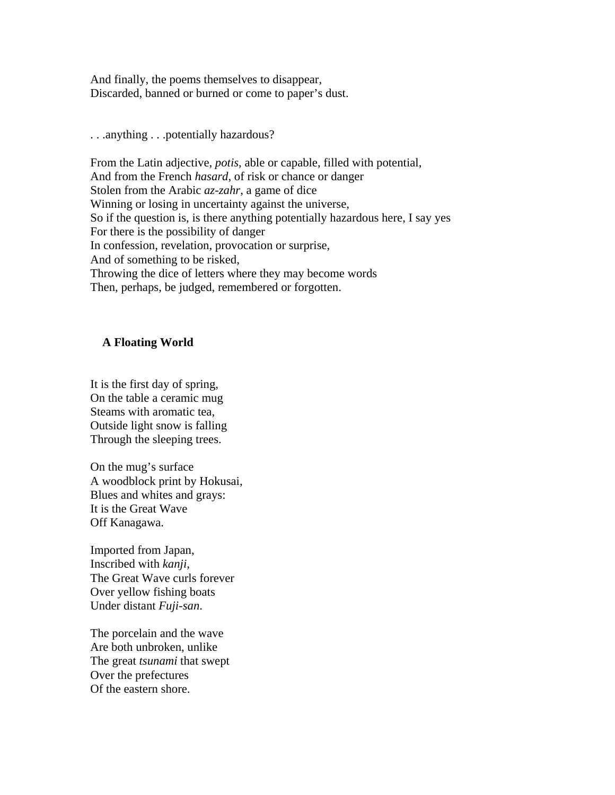And finally, the poems themselves to disappear, Discarded, banned or burned or come to paper's dust.

. . .anything . . .potentially hazardous?

From the Latin adjective, *potis*, able or capable, filled with potential, And from the French *hasard*, of risk or chance or danger Stolen from the Arabic *az-zahr*, a game of dice Winning or losing in uncertainty against the universe, So if the question is, is there anything potentially hazardous here, I say yes For there is the possibility of danger In confession, revelation, provocation or surprise, And of something to be risked, Throwing the dice of letters where they may become words Then, perhaps, be judged, remembered or forgotten.

## **A Floating World**

It is the first day of spring, On the table a ceramic mug Steams with aromatic tea, Outside light snow is falling Through the sleeping trees.

On the mug's surface A woodblock print by Hokusai, Blues and whites and grays: It is the Great Wave Off Kanagawa.

Imported from Japan, Inscribed with *kanji,* The Great Wave curls forever Over yellow fishing boats Under distant *Fuji-san*.

The porcelain and the wave Are both unbroken, unlike The great *tsunami* that swept Over the prefectures Of the eastern shore.